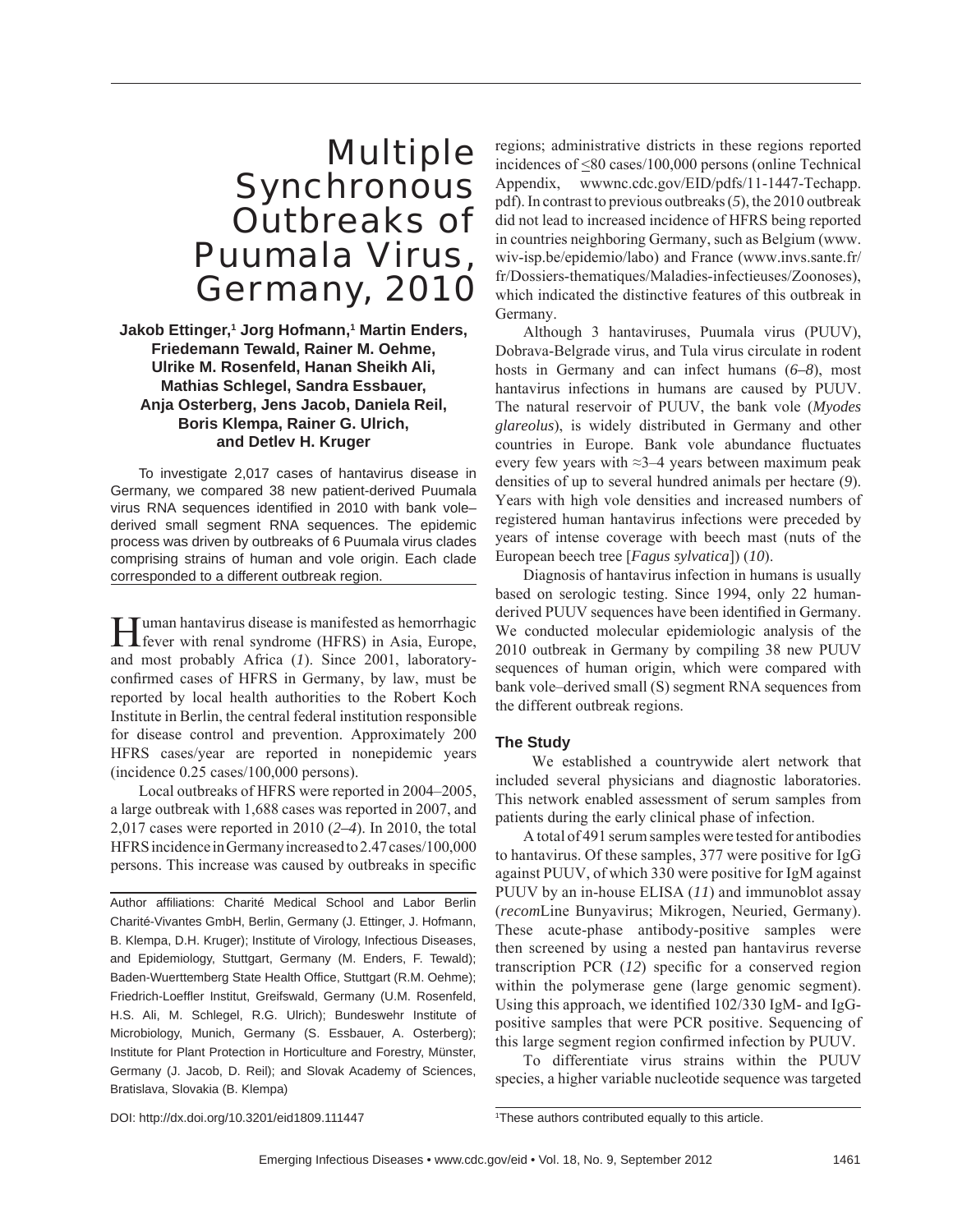## Multiple **Synchronous** Outbreaks of Puumala Virus, Germany, 2010

**Jakob Ettinger,1 Jorg Hofmann,1 Martin Enders, Friedemann Tewald, Rainer M. Oehme, Ulrike M. Rosenfeld, Hanan Sheikh Ali, Mathias Schlegel, Sandra Essbauer, Anja Osterberg, Jens Jacob, Daniela Reil, Boris Klempa, Rainer G. Ulrich, and Detlev H. Kruger**

To investigate 2,017 cases of hantavirus disease in Germany, we compared 38 new patient-derived Puumala virus RNA sequences identified in 2010 with bank volederived small segment RNA sequences. The epidemic process was driven by outbreaks of 6 Puumala virus clades comprising strains of human and vole origin. Each clade corresponded to a different outbreak region.

Human hantavirus disease is manifested as hemorrhagic fever with renal syndrome (HFRS) in Asia, Europe, and most probably Africa (*1*). Since 2001, laboratoryconfirmed cases of HFRS in Germany, by law, must be reported by local health authorities to the Robert Koch Institute in Berlin, the central federal institution responsible for disease control and prevention. Approximately 200 HFRS cases/year are reported in nonepidemic years (incidence 0.25 cases/100,000 persons).

Local outbreaks of HFRS were reported in 2004–2005, a large outbreak with 1,688 cases was reported in 2007, and 2,017 cases were reported in 2010 (*2–4*). In 2010, the total HFRS incidence in Germany increased to 2.47 cases/100,000 persons. This increase was caused by outbreaks in specific

Author affiliations: Charité Medical School and Labor Berlin Charité-Vivantes GmbH, Berlin, Germany (J. Ettinger, J. Hofmann, B. Klempa, D.H. Kruger); Institute of Virology, Infectious Diseases, and Epidemiology, Stuttgart, Germany (M. Enders, F. Tewald); Baden-Wuerttemberg State Health Office, Stuttgart (R.M. Oehme); Friedrich-Loeffler Institut, Greifswald, Germany (U.M. Rosenfeld, H.S. Ali, M. Schlegel, R.G. Ulrich); Bundeswehr Institute of Microbiology, Munich, Germany (S. Essbauer, A. Osterberg); Institute for Plant Protection in Horticulture and Forestry, Münster, Germany (J. Jacob, D. Reil); and Slovak Academy of Sciences, Bratislava, Slovakia (B. Klempa)

regions; administrative districts in these regions reported incidences of <80 cases/100,000 persons (online Technical Appendix, wwwnc.cdc.gov/EID/pdfs/11-1447-Techapp. pdf). In contrast to previous outbreaks (*5*), the 2010 outbreak did not lead to increased incidence of HFRS being reported in countries neighboring Germany, such as Belgium (www. wiv-isp.be/epidemio/labo) and France (www.invs.sante.fr/ fr/Dossiers-thematiques/Maladies-infectieuses/Zoonoses), which indicated the distinctive features of this outbreak in Germany.

Although 3 hantaviruses, Puumala virus (PUUV), Dobrava-Belgrade virus, and Tula virus circulate in rodent hosts in Germany and can infect humans (*6–8*), most hantavirus infections in humans are caused by PUUV. The natural reservoir of PUUV, the bank vole (*Myodes glareolus*), is widely distributed in Germany and other countries in Europe. Bank vole abundance fluctuates every few years with ≈3–4 years between maximum peak densities of up to several hundred animals per hectare (*9*). Years with high vole densities and increased numbers of registered human hantavirus infections were preceded by years of intense coverage with beech mast (nuts of the European beech tree [*Fagus sylvatica*]) (*10*).

Diagnosis of hantavirus infection in humans is usually based on serologic testing. Since 1994, only 22 humanderived PUUV sequences have been identified in Germany. We conducted molecular epidemiologic analysis of the 2010 outbreak in Germany by compiling 38 new PUUV sequences of human origin, which were compared with bank vole–derived small (S) segment RNA sequences from the different outbreak regions.

#### **The Study**

 We established a countrywide alert network that included several physicians and diagnostic laboratories. This network enabled assessment of serum samples from patients during the early clinical phase of infection.

A total of 491 serum samples were tested for antibodies to hantavirus. Of these samples, 377 were positive for IgG against PUUV, of which 330 were positive for IgM against PUUV by an in-house ELISA (*11*) and immunoblot assay (*recom*Line Bunyavirus; Mikrogen, Neuried, Germany). These acute-phase antibody-positive samples were then screened by using a nested pan hantavirus reverse transcription PCR  $(12)$  specific for a conserved region within the polymerase gene (large genomic segment). Using this approach, we identified  $102/330$  IgM- and IgGpositive samples that were PCR positive. Sequencing of this large segment region confirmed infection by PUUV.

To differentiate virus strains within the PUUV species, a higher variable nucleotide sequence was targeted

DOI: http://dx.doi.org/10.3201/eid1809.111447

<sup>1</sup> These authors contributed equally to this article.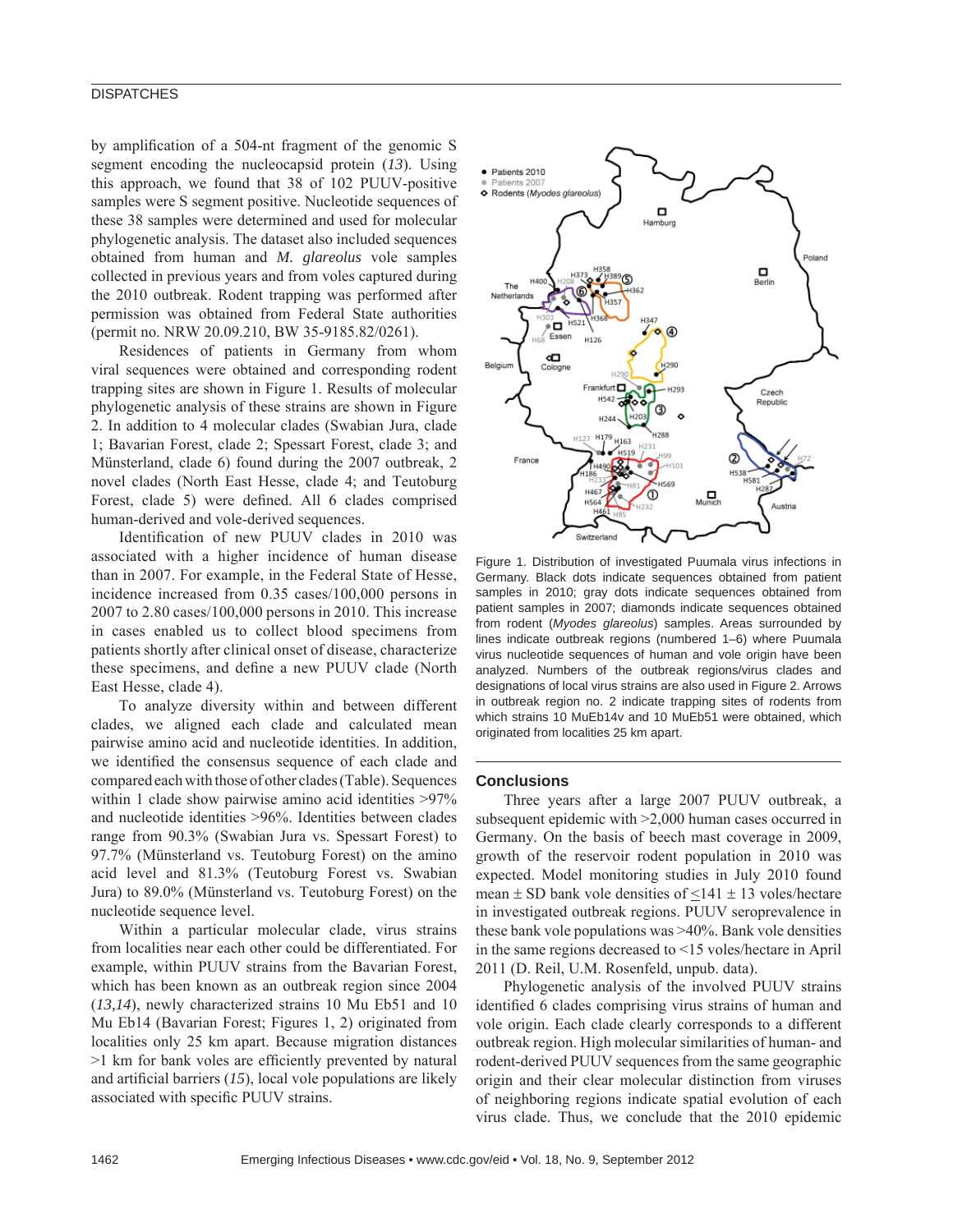#### **DISPATCHES**

by amplification of a 504-nt fragment of the genomic S segment encoding the nucleocapsid protein (*13*). Using this approach, we found that 38 of 102 PUUV-positive samples were S segment positive. Nucleotide sequences of these 38 samples were determined and used for molecular phylogenetic analysis. The dataset also included sequences obtained from human and *M. glareolus* vole samples collected in previous years and from voles captured during the 2010 outbreak. Rodent trapping was performed after permission was obtained from Federal State authorities (permit no. NRW 20.09.210, BW 35-9185.82/0261).

Residences of patients in Germany from whom viral sequences were obtained and corresponding rodent trapping sites are shown in Figure 1. Results of molecular phylogenetic analysis of these strains are shown in Figure 2. In addition to 4 molecular clades (Swabian Jura, clade 1; Bavarian Forest, clade 2; Spessart Forest, clade 3; and Münsterland, clade 6) found during the 2007 outbreak, 2 novel clades (North East Hesse, clade 4; and Teutoburg Forest, clade 5) were defined. All 6 clades comprised human-derived and vole-derived sequences.

Identification of new PUUV clades in 2010 was associated with a higher incidence of human disease than in 2007. For example, in the Federal State of Hesse, incidence increased from 0.35 cases/100,000 persons in 2007 to 2.80 cases/100,000 persons in 2010. This increase in cases enabled us to collect blood specimens from patients shortly after clinical onset of disease, characterize these specimens, and define a new PUUV clade (North East Hesse, clade 4).

To analyze diversity within and between different clades, we aligned each clade and calculated mean pairwise amino acid and nucleotide identities. In addition, we identified the consensus sequence of each clade and compared each with those of other clades (Table). Sequences within 1 clade show pairwise amino acid identities  $>97\%$ and nucleotide identities >96%. Identities between clades range from 90.3% (Swabian Jura vs. Spessart Forest) to 97.7% (Münsterland vs. Teutoburg Forest) on the amino acid level and 81.3% (Teutoburg Forest vs. Swabian Jura) to 89.0% (Münsterland vs. Teutoburg Forest) on the nucleotide sequence level.

Within a particular molecular clade, virus strains from localities near each other could be differentiated. For example, within PUUV strains from the Bavarian Forest, which has been known as an outbreak region since 2004 (*13,14*), newly characterized strains 10 Mu Eb51 and 10 Mu Eb14 (Bavarian Forest; Figures 1, 2) originated from localities only 25 km apart. Because migration distances  $>1$  km for bank voles are efficiently prevented by natural and artificial barriers  $(15)$ , local vole populations are likely associated with specific PUUV strains.



Figure 1. Distribution of investigated Puumala virus infections in Germany. Black dots indicate sequences obtained from patient samples in 2010; gray dots indicate sequences obtained from patient samples in 2007; diamonds indicate sequences obtained from rodent (*Myodes glareolus*) samples. Areas surrounded by lines indicate outbreak regions (numbered 1–6) where Puumala virus nucleotide sequences of human and vole origin have been analyzed. Numbers of the outbreak regions/virus clades and designations of local virus strains are also used in Figure 2. Arrows in outbreak region no. 2 indicate trapping sites of rodents from which strains 10 MuEb14v and 10 MuEb51 were obtained, which originated from localities 25 km apart.

#### **Conclusions**

Three years after a large 2007 PUUV outbreak, a subsequent epidemic with >2,000 human cases occurred in Germany. On the basis of beech mast coverage in 2009, growth of the reservoir rodent population in 2010 was expected. Model monitoring studies in July 2010 found mean  $\pm$  SD bank vole densities of  $\leq$ 141  $\pm$  13 voles/hectare in investigated outbreak regions. PUUV seroprevalence in these bank vole populations was >40%. Bank vole densities in the same regions decreased to <15 voles/hectare in April 2011 (D. Reil, U.M. Rosenfeld, unpub. data).

Phylogenetic analysis of the involved PUUV strains identified 6 clades comprising virus strains of human and vole origin. Each clade clearly corresponds to a different outbreak region. High molecular similarities of human- and rodent-derived PUUV sequences from the same geographic origin and their clear molecular distinction from viruses of neighboring regions indicate spatial evolution of each virus clade. Thus, we conclude that the 2010 epidemic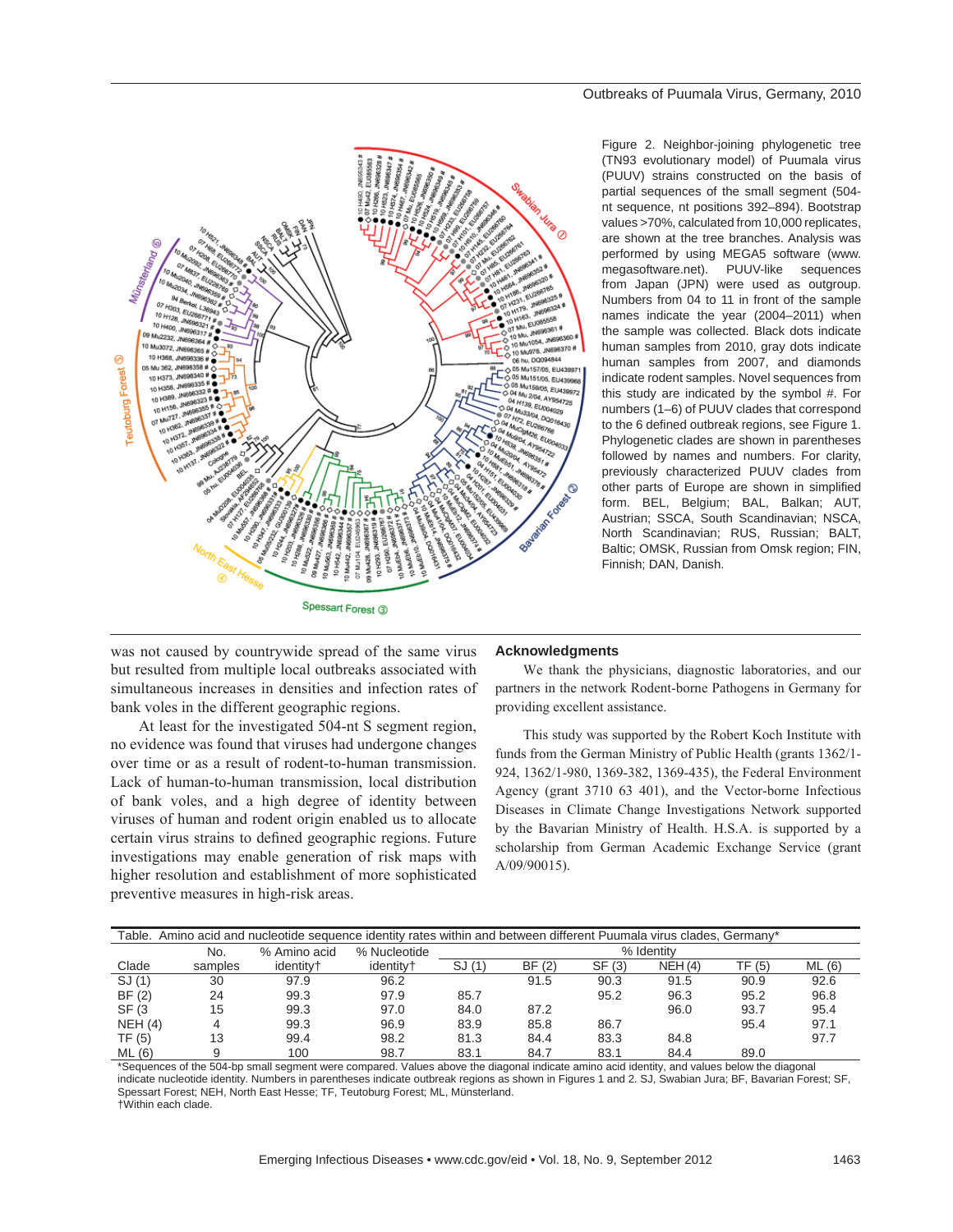

#### Outbreaks of Puumala Virus, Germany, 2010

Figure 2. Neighbor-joining phylogenetic tree (TN93 evolutionary model) of Puumala virus (PUUV) strains constructed on the basis of partial sequences of the small segment (504 nt sequence, nt positions 392–894). Bootstrap values >70%, calculated from 10,000 replicates, are shown at the tree branches. Analysis was performed by using MEGA5 software (www. megasoftware.net). PUUV-like sequences from Japan (JPN) were used as outgroup. Numbers from 04 to 11 in front of the sample names indicate the year (2004–2011) when the sample was collected. Black dots indicate human samples from 2010, gray dots indicate human samples from 2007, and diamonds indicate rodent samples. Novel sequences from this study are indicated by the symbol #. For numbers (1–6) of PUUV clades that correspond to the 6 defined outbreak regions, see Figure 1. Phylogenetic clades are shown in parentheses followed by names and numbers. For clarity, previously characterized PUUV clades from other parts of Europe are shown in simplified form. BEL, Belgium; BAL, Balkan; AUT, Austrian; SSCA, South Scandinavian; NSCA, North Scandinavian; RUS, Russian; BALT, Baltic; OMSK, Russian from Omsk region; FIN, Finnish; DAN, Danish.

was not caused by countrywide spread of the same virus but resulted from multiple local outbreaks associated with simultaneous increases in densities and infection rates of bank voles in the different geographic regions.

At least for the investigated 504-nt S segment region, no evidence was found that viruses had undergone changes over time or as a result of rodent-to-human transmission. Lack of human-to-human transmission, local distribution of bank voles, and a high degree of identity between viruses of human and rodent origin enabled us to allocate certain virus strains to defined geographic regions. Future investigations may enable generation of risk maps with higher resolution and establishment of more sophisticated preventive measures in high-risk areas.

#### **Acknowledgments**

We thank the physicians, diagnostic laboratories, and our partners in the network Rodent-borne Pathogens in Germany for providing excellent assistance.

This study was supported by the Robert Koch Institute with funds from the German Ministry of Public Health (grants 1362/1- 924, 1362/1-980, 1369-382, 1369-435), the Federal Environment Agency (grant 3710 63 401), and the Vector-borne Infectious Diseases in Climate Change Investigations Network supported by the Bavarian Ministry of Health. H.S.A. is supported by a scholarship from German Academic Exchange Service (grant A/09/90015).

|        | Table. Amino acid and nucleotide sequence identity rates within and between different Puumala virus clades, Germany* |                       |                       |            |       |        |        |        |        |
|--------|----------------------------------------------------------------------------------------------------------------------|-----------------------|-----------------------|------------|-------|--------|--------|--------|--------|
|        | No.                                                                                                                  | % Amino acid          | % Nucleotide          | % Identity |       |        |        |        |        |
| Clade  | samples                                                                                                              | identitv <sup>+</sup> | identitv <sup>+</sup> | SJ(1)      | BF(2) | SF (3) | NEH(4) | TF (5) | ML (6) |
| SJ(1)  | 30                                                                                                                   | 97.9                  | 96.2                  |            | 91.5  | 90.3   | 91.5   | 90.9   | 92.6   |
| BF(2)  | 24                                                                                                                   | 99.3                  | 97.9                  | 85.7       |       | 95.2   | 96.3   | 95.2   | 96.8   |
| SF (3) | 15                                                                                                                   | 99.3                  | 97.0                  | 84.0       | 87.2  |        | 96.0   | 93.7   | 95.4   |
| NEH(4) | 4                                                                                                                    | 99.3                  | 96.9                  | 83.9       | 85.8  | 86.7   |        | 95.4   | 97.1   |
| TF (5) | 13                                                                                                                   | 99.4                  | 98.2                  | 81.3       | 84.4  | 83.3   | 84.8   |        | 97.7   |
| ML(6)  |                                                                                                                      | 100                   | 98.7                  | 83.1       | 84.7  | 83.1   | 84.4   | 89.0   |        |

\*Sequences of the 504-bp small segment were compared. Values above the diagonal indicate amino acid identity, and values below the diagonal indicate nucleotide identity. Numbers in parentheses indicate outbreak regions as shown in Figures 1 and 2. SJ, Swabian Jura; BF, Bavarian Forest; SF, Spessart Forest; NEH, North East Hesse; TF, Teutoburg Forest; ML, Münsterland. †Within each clade.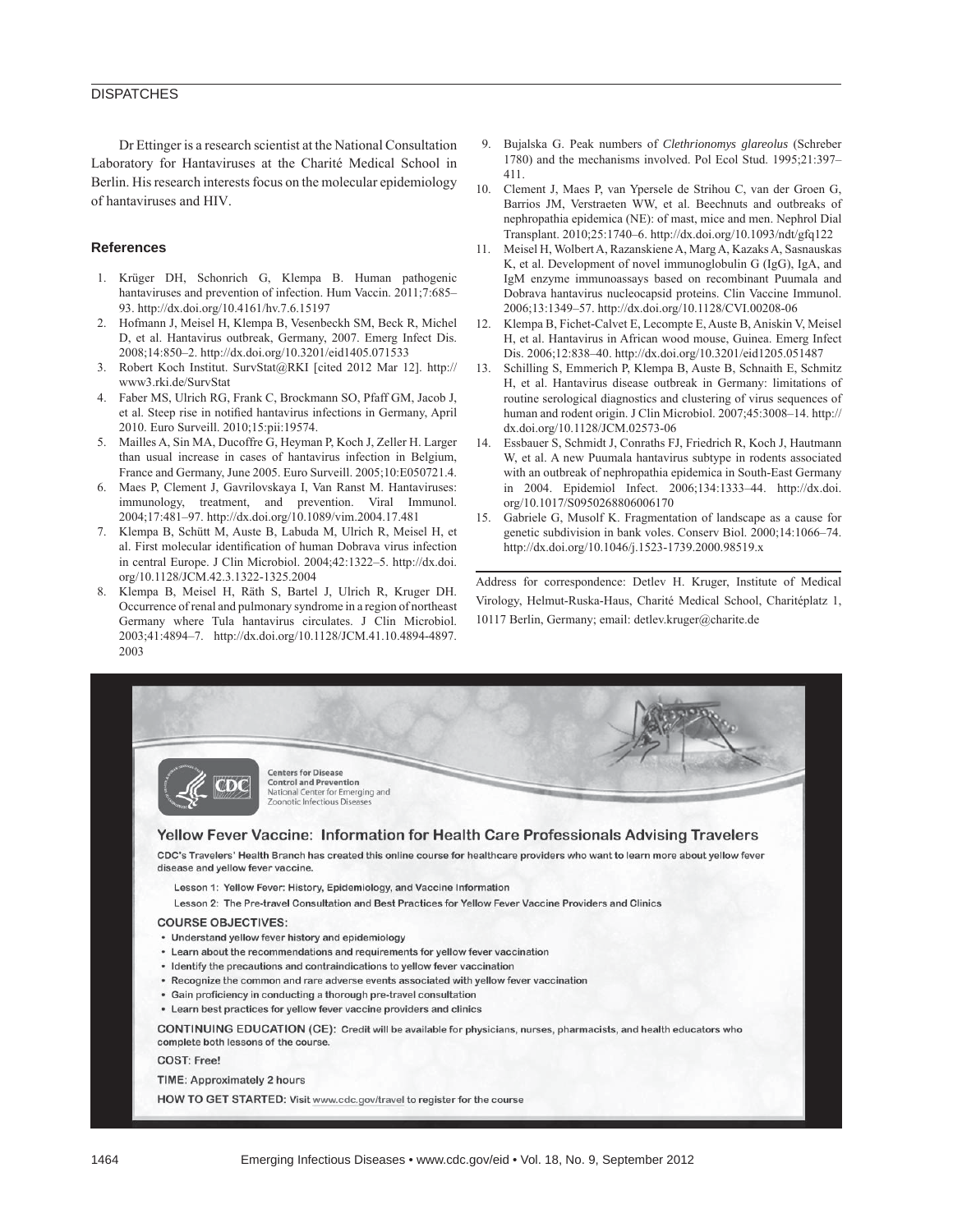#### **DISPATCHES**

Dr Ettinger is a research scientist at the National Consultation Laboratory for Hantaviruses at the Charité Medical School in Berlin. His research interests focus on the molecular epidemiology of hantaviruses and HIV.

#### **References**

- 1. Krüger DH, Schonrich G, Klempa B. Human pathogenic hantaviruses and prevention of infection. Hum Vaccin. 2011;7:685-93. http://dx.doi.org/10.4161/hv.7.6.15197
- 2. Hofmann J, Meisel H, Klempa B, Vesenbeckh SM, Beck R, Michel D, et al. Hantavirus outbreak, Germany, 2007. Emerg Infect Dis. 2008;14:850–2. http://dx.doi.org/10.3201/eid1405.071533
- 3. Robert Koch Institut. SurvStat@RKI [cited 2012 Mar 12]. http:// www3.rki.de/SurvStat
- 4. Faber MS, Ulrich RG, Frank C, Brockmann SO, Pfaff GM, Jacob J, et al. Steep rise in notified hantavirus infections in Germany, April 2010. Euro Surveill. 2010;15:pii:19574.
- 5. Mailles A, Sin MA, Ducoffre G, Heyman P, Koch J, Zeller H. Larger than usual increase in cases of hantavirus infection in Belgium, France and Germany, June 2005. Euro Surveill. 2005;10:E050721.4.
- 6. Maes P, Clement J, Gavrilovskaya I, Van Ranst M. Hantaviruses: immunology, treatment, and prevention. Viral Immunol. 2004;17:481–97. http://dx.doi.org/10.1089/vim.2004.17.481
- 7. Klempa B, Schütt M, Auste B, Labuda M, Ulrich R, Meisel H, et al. First molecular identification of human Dobrava virus infection in central Europe. J Clin Microbiol. 2004;42:1322–5. http://dx.doi. org/10.1128/JCM.42.3.1322-1325.2004
- 8. Klempa B, Meisel H, Räth S, Bartel J, Ulrich R, Kruger DH. Occurrence of renal and pulmonary syndrome in a region of northeast Germany where Tula hantavirus circulates. J Clin Microbiol. 2003;41:4894–7. http://dx.doi.org/10.1128/JCM.41.10.4894-4897. 2003
- 9. Bujalska G. Peak numbers of *Clethrionomys glareolus* (Schreber 1780) and the mechanisms involved. Pol Ecol Stud. 1995;21:397– 411.
- 10. Clement J, Maes P, van Ypersele de Strihou C, van der Groen G, Barrios JM, Verstraeten WW, et al. Beechnuts and outbreaks of nephropathia epidemica (NE): of mast, mice and men. Nephrol Dial Transplant. 2010;25:1740–6. http://dx.doi.org/10.1093/ndt/gfq122
- 11. Meisel H, Wolbert A, Razanskiene A, Marg A, Kazaks A, Sasnauskas K, et al. Development of novel immunoglobulin G (IgG), IgA, and IgM enzyme immunoassays based on recombinant Puumala and Dobrava hantavirus nucleocapsid proteins. Clin Vaccine Immunol. 2006;13:1349–57. http://dx.doi.org/10.1128/CVI.00208-06
- 12. Klempa B, Fichet-Calvet E, Lecompte E, Auste B, Aniskin V, Meisel H, et al. Hantavirus in African wood mouse, Guinea. Emerg Infect Dis. 2006;12:838–40. http://dx.doi.org/10.3201/eid1205.051487
- 13. Schilling S, Emmerich P, Klempa B, Auste B, Schnaith E, Schmitz H, et al. Hantavirus disease outbreak in Germany: limitations of routine serological diagnostics and clustering of virus sequences of human and rodent origin. J Clin Microbiol. 2007;45:3008–14. http:// dx.doi.org/10.1128/JCM.02573-06
- 14. Essbauer S, Schmidt J, Conraths FJ, Friedrich R, Koch J, Hautmann W, et al. A new Puumala hantavirus subtype in rodents associated with an outbreak of nephropathia epidemica in South-East Germany in 2004. Epidemiol Infect. 2006;134:1333–44. http://dx.doi. org/10.1017/S0950268806006170
- 15. Gabriele G, Musolf K. Fragmentation of landscape as a cause for genetic subdivision in bank voles. Conserv Biol. 2000;14:1066–74. http://dx.doi.org/10.1046/j.1523-1739.2000.98519.x

Address for correspondence: Detlev H. Kruger, Institute of Medical Virology, Helmut-Ruska-Haus, Charité Medical School, Charitéplatz 1, 10117 Berlin, Germany; email: detlev.kruger@charite.de

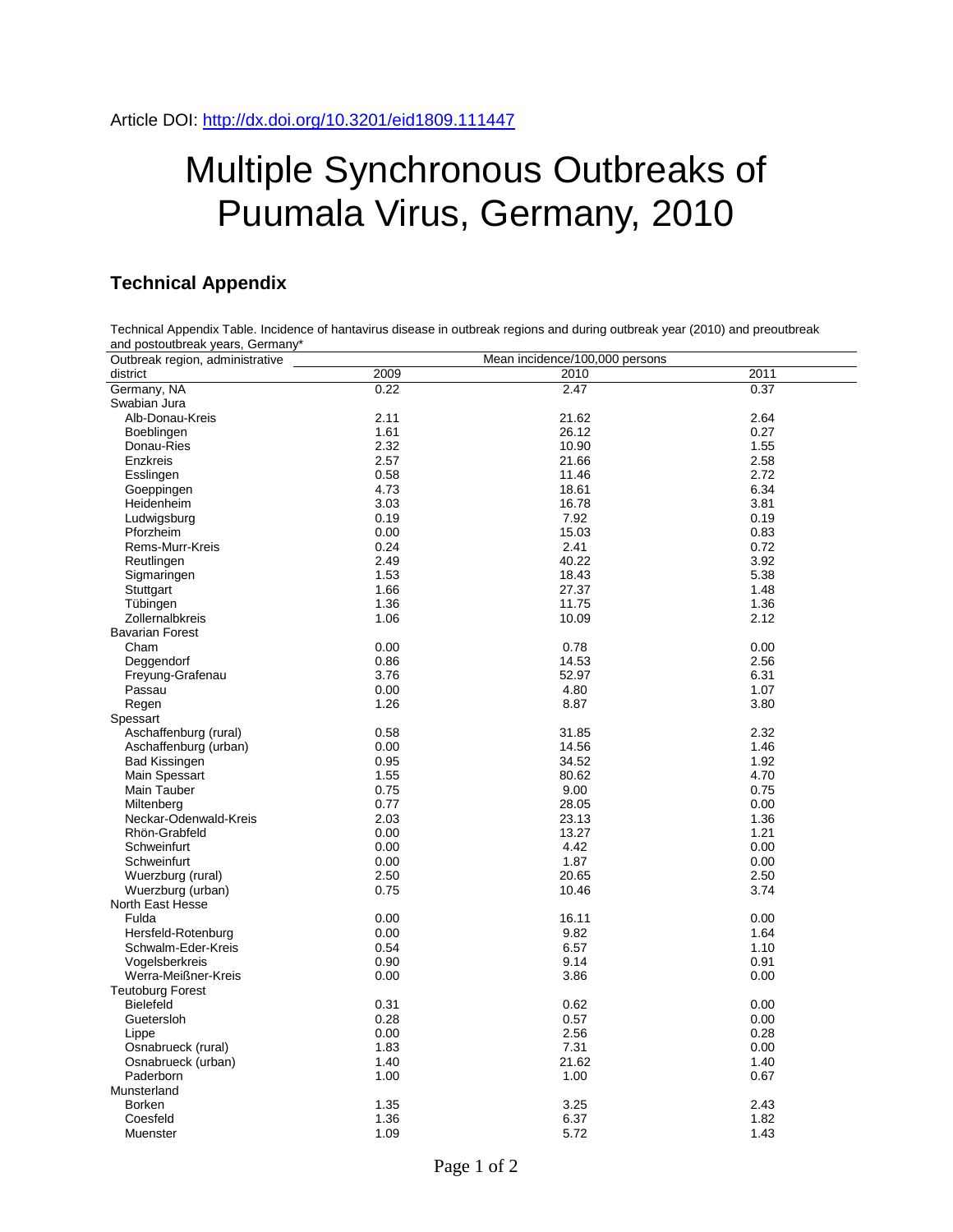# Multiple Synchronous Outbreaks of Puumala Virus, Germany, 2010

### **Technical Appendix**

| Technical Appendix Table. Incidence of hantavirus disease in outbreak regions and during outbreak year (2010) and preoutbreak<br>and postoutbreak years, Germany* |      |                                |      |  |  |  |
|-------------------------------------------------------------------------------------------------------------------------------------------------------------------|------|--------------------------------|------|--|--|--|
| Outbreak region, administrative                                                                                                                                   |      | Mean incidence/100,000 persons |      |  |  |  |
| district                                                                                                                                                          | 2009 | 2010                           | 2011 |  |  |  |
| Germany, NA                                                                                                                                                       | 0.22 | 2.47                           | 0.37 |  |  |  |
| Swabian Jura                                                                                                                                                      |      |                                |      |  |  |  |
| Alb-Donau-Kreis                                                                                                                                                   | 2.11 | 21.62                          | 2.64 |  |  |  |
| Boeblingen                                                                                                                                                        | 1.61 | 26.12                          | 0.27 |  |  |  |
| Donau-Ries                                                                                                                                                        | 2.32 | 10.90                          | 1.55 |  |  |  |
| Enzkreis                                                                                                                                                          | 2.57 | 21.66                          | 2.58 |  |  |  |
|                                                                                                                                                                   | 0.58 | 11.46                          | 2.72 |  |  |  |
| Esslingen                                                                                                                                                         |      |                                |      |  |  |  |
| Goeppingen                                                                                                                                                        | 4.73 | 18.61                          | 6.34 |  |  |  |
| Heidenheim                                                                                                                                                        | 3.03 | 16.78                          | 3.81 |  |  |  |
| Ludwigsburg                                                                                                                                                       | 0.19 | 7.92                           | 0.19 |  |  |  |
| Pforzheim                                                                                                                                                         | 0.00 | 15.03                          | 0.83 |  |  |  |
| Rems-Murr-Kreis                                                                                                                                                   | 0.24 | 2.41                           | 0.72 |  |  |  |
| Reutlingen                                                                                                                                                        | 2.49 | 40.22                          | 3.92 |  |  |  |
| Sigmaringen                                                                                                                                                       | 1.53 | 18.43                          | 5.38 |  |  |  |
| Stuttgart                                                                                                                                                         | 1.66 | 27.37                          | 1.48 |  |  |  |
| Tübingen                                                                                                                                                          | 1.36 | 11.75                          | 1.36 |  |  |  |
| Zollernalbkreis                                                                                                                                                   | 1.06 | 10.09                          | 2.12 |  |  |  |
| <b>Bavarian Forest</b>                                                                                                                                            |      |                                |      |  |  |  |
| Cham                                                                                                                                                              | 0.00 | 0.78                           | 0.00 |  |  |  |
| Deggendorf                                                                                                                                                        | 0.86 | 14.53                          | 2.56 |  |  |  |
| Freyung-Grafenau                                                                                                                                                  | 3.76 | 52.97                          | 6.31 |  |  |  |
| Passau                                                                                                                                                            | 0.00 | 4.80                           | 1.07 |  |  |  |
| Regen                                                                                                                                                             | 1.26 | 8.87                           | 3.80 |  |  |  |
| Spessart                                                                                                                                                          |      |                                |      |  |  |  |
| Aschaffenburg (rural)                                                                                                                                             | 0.58 | 31.85                          | 2.32 |  |  |  |
| Aschaffenburg (urban)                                                                                                                                             | 0.00 | 14.56                          | 1.46 |  |  |  |
|                                                                                                                                                                   |      |                                |      |  |  |  |
| Bad Kissingen                                                                                                                                                     | 0.95 | 34.52                          | 1.92 |  |  |  |
| Main Spessart                                                                                                                                                     | 1.55 | 80.62                          | 4.70 |  |  |  |
| Main Tauber                                                                                                                                                       | 0.75 | 9.00                           | 0.75 |  |  |  |
| Miltenberg                                                                                                                                                        | 0.77 | 28.05                          | 0.00 |  |  |  |
| Neckar-Odenwald-Kreis                                                                                                                                             | 2.03 | 23.13                          | 1.36 |  |  |  |
| Rhön-Grabfeld                                                                                                                                                     | 0.00 | 13.27                          | 1.21 |  |  |  |
| Schweinfurt                                                                                                                                                       | 0.00 | 4.42                           | 0.00 |  |  |  |
| Schweinfurt                                                                                                                                                       | 0.00 | 1.87                           | 0.00 |  |  |  |
| Wuerzburg (rural)                                                                                                                                                 | 2.50 | 20.65                          | 2.50 |  |  |  |
| Wuerzburg (urban)                                                                                                                                                 | 0.75 | 10.46                          | 3.74 |  |  |  |
| North East Hesse                                                                                                                                                  |      |                                |      |  |  |  |
| Fulda                                                                                                                                                             | 0.00 | 16.11                          | 0.00 |  |  |  |
| Hersfeld-Rotenburg                                                                                                                                                | 0.00 | 9.82                           | 1.64 |  |  |  |
| Schwalm-Eder-Kreis                                                                                                                                                | 0.54 | 6.57                           | 1.10 |  |  |  |
| Vogelsberkreis                                                                                                                                                    | 0.90 | 9.14                           | 0.91 |  |  |  |
| Werra-Meißner-Kreis                                                                                                                                               | 0.00 | 3.86                           | 0.00 |  |  |  |
| <b>Teutoburg Forest</b>                                                                                                                                           |      |                                |      |  |  |  |
| Bielefeld                                                                                                                                                         | 0.31 | 0.62                           | 0.00 |  |  |  |
| Guetersloh                                                                                                                                                        | 0.28 | 0.57                           | 0.00 |  |  |  |
|                                                                                                                                                                   |      |                                |      |  |  |  |
| Lippe                                                                                                                                                             | 0.00 | 2.56<br>7.31                   | 0.28 |  |  |  |
| Osnabrueck (rural)                                                                                                                                                | 1.83 |                                | 0.00 |  |  |  |
| Osnabrueck (urban)                                                                                                                                                | 1.40 | 21.62                          | 1.40 |  |  |  |
| Paderborn                                                                                                                                                         | 1.00 | 1.00                           | 0.67 |  |  |  |
| Munsterland                                                                                                                                                       |      |                                |      |  |  |  |
| Borken                                                                                                                                                            | 1.35 | 3.25                           | 2.43 |  |  |  |
| Coesfeld                                                                                                                                                          | 1.36 | 6.37                           | 1.82 |  |  |  |
| Muenster                                                                                                                                                          | 1.09 | 5.72                           | 1.43 |  |  |  |